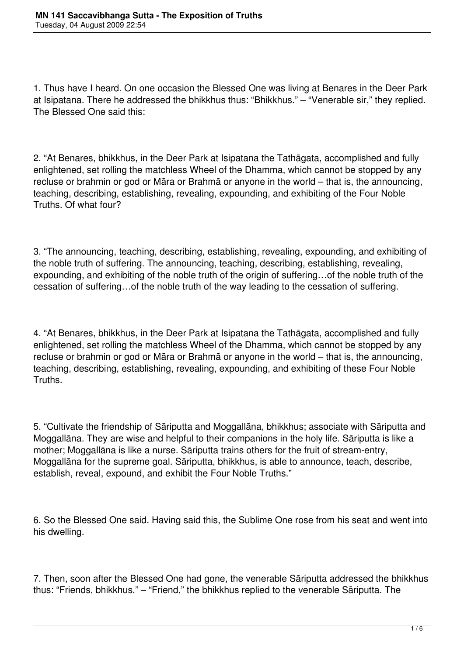1. Thus have I heard. On one occasion the Blessed One was living at Benares in the Deer Park at Isipatana. There he addressed the bhikkhus thus: "Bhikkhus." – "Venerable sir," they replied. The Blessed One said this:

2. "At Benares, bhikkhus, in the Deer Park at Isipatana the Tathāgata, accomplished and fully enlightened, set rolling the matchless Wheel of the Dhamma, which cannot be stopped by any recluse or brahmin or god or Māra or Brahmā or anyone in the world – that is, the announcing, teaching, describing, establishing, revealing, expounding, and exhibiting of the Four Noble Truths. Of what four?

3. "The announcing, teaching, describing, establishing, revealing, expounding, and exhibiting of the noble truth of suffering. The announcing, teaching, describing, establishing, revealing, expounding, and exhibiting of the noble truth of the origin of suffering…of the noble truth of the cessation of suffering…of the noble truth of the way leading to the cessation of suffering.

4. "At Benares, bhikkhus, in the Deer Park at Isipatana the Tathāgata, accomplished and fully enlightened, set rolling the matchless Wheel of the Dhamma, which cannot be stopped by any recluse or brahmin or god or Māra or Brahmā or anyone in the world – that is, the announcing, teaching, describing, establishing, revealing, expounding, and exhibiting of these Four Noble Truths.

5. "Cultivate the friendship of Sāriputta and Moggallāna, bhikkhus; associate with Sāriputta and Moggallāna. They are wise and helpful to their companions in the holy life. Sāriputta is like a mother; Moggallāna is like a nurse. Sāriputta trains others for the fruit of stream-entry, Moggallāna for the supreme goal. Sāriputta, bhikkhus, is able to announce, teach, describe, establish, reveal, expound, and exhibit the Four Noble Truths."

6. So the Blessed One said. Having said this, the Sublime One rose from his seat and went into his dwelling.

7. Then, soon after the Blessed One had gone, the venerable Sāriputta addressed the bhikkhus thus: "Friends, bhikkhus." – "Friend," the bhikkhus replied to the venerable Sāriputta. The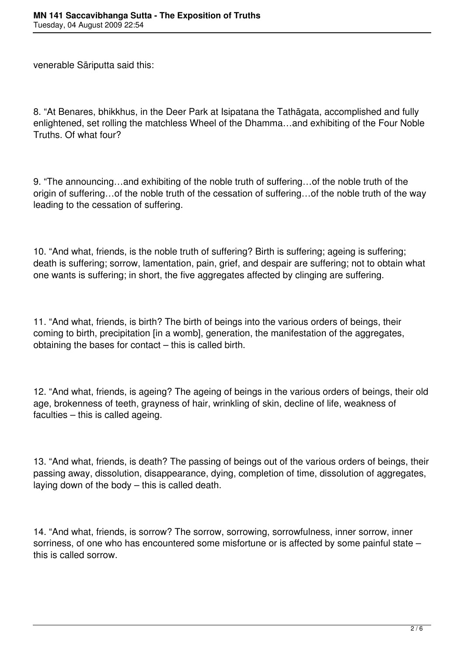venerable Sāriputta said this:

8. "At Benares, bhikkhus, in the Deer Park at Isipatana the Tathāgata, accomplished and fully enlightened, set rolling the matchless Wheel of the Dhamma…and exhibiting of the Four Noble Truths. Of what four?

9. "The announcing…and exhibiting of the noble truth of suffering…of the noble truth of the origin of suffering…of the noble truth of the cessation of suffering…of the noble truth of the way leading to the cessation of suffering.

10. "And what, friends, is the noble truth of suffering? Birth is suffering; ageing is suffering; death is suffering; sorrow, lamentation, pain, grief, and despair are suffering; not to obtain what one wants is suffering; in short, the five aggregates affected by clinging are suffering.

11. "And what, friends, is birth? The birth of beings into the various orders of beings, their coming to birth, precipitation [in a womb], generation, the manifestation of the aggregates, obtaining the bases for contact – this is called birth.

12. "And what, friends, is ageing? The ageing of beings in the various orders of beings, their old age, brokenness of teeth, grayness of hair, wrinkling of skin, decline of life, weakness of faculties – this is called ageing.

13. "And what, friends, is death? The passing of beings out of the various orders of beings, their passing away, dissolution, disappearance, dying, completion of time, dissolution of aggregates, laying down of the body – this is called death.

14. "And what, friends, is sorrow? The sorrow, sorrowing, sorrowfulness, inner sorrow, inner sorriness, of one who has encountered some misfortune or is affected by some painful state – this is called sorrow.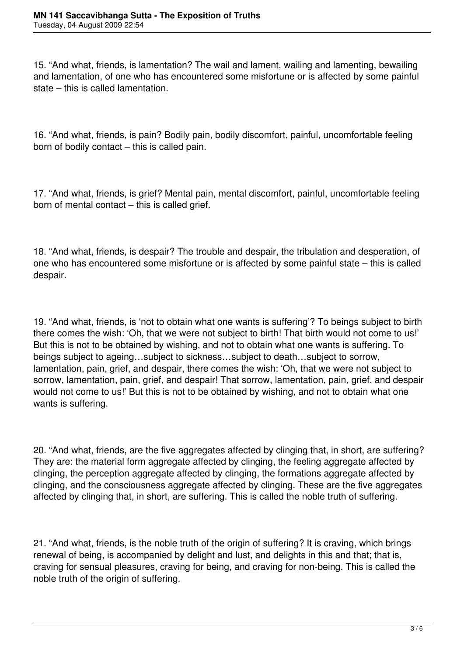15. "And what, friends, is lamentation? The wail and lament, wailing and lamenting, bewailing and lamentation, of one who has encountered some misfortune or is affected by some painful state – this is called lamentation.

16. "And what, friends, is pain? Bodily pain, bodily discomfort, painful, uncomfortable feeling born of bodily contact – this is called pain.

17. "And what, friends, is grief? Mental pain, mental discomfort, painful, uncomfortable feeling born of mental contact – this is called grief.

18. "And what, friends, is despair? The trouble and despair, the tribulation and desperation, of one who has encountered some misfortune or is affected by some painful state – this is called despair.

19. "And what, friends, is 'not to obtain what one wants is suffering'? To beings subject to birth there comes the wish: 'Oh, that we were not subject to birth! That birth would not come to us!' But this is not to be obtained by wishing, and not to obtain what one wants is suffering. To beings subject to ageing…subject to sickness…subject to death…subject to sorrow, lamentation, pain, grief, and despair, there comes the wish: 'Oh, that we were not subject to sorrow, lamentation, pain, grief, and despair! That sorrow, lamentation, pain, grief, and despair would not come to us!' But this is not to be obtained by wishing, and not to obtain what one wants is suffering.

20. "And what, friends, are the five aggregates affected by clinging that, in short, are suffering? They are: the material form aggregate affected by clinging, the feeling aggregate affected by clinging, the perception aggregate affected by clinging, the formations aggregate affected by clinging, and the consciousness aggregate affected by clinging. These are the five aggregates affected by clinging that, in short, are suffering. This is called the noble truth of suffering.

21. "And what, friends, is the noble truth of the origin of suffering? It is craving, which brings renewal of being, is accompanied by delight and lust, and delights in this and that; that is, craving for sensual pleasures, craving for being, and craving for non-being. This is called the noble truth of the origin of suffering.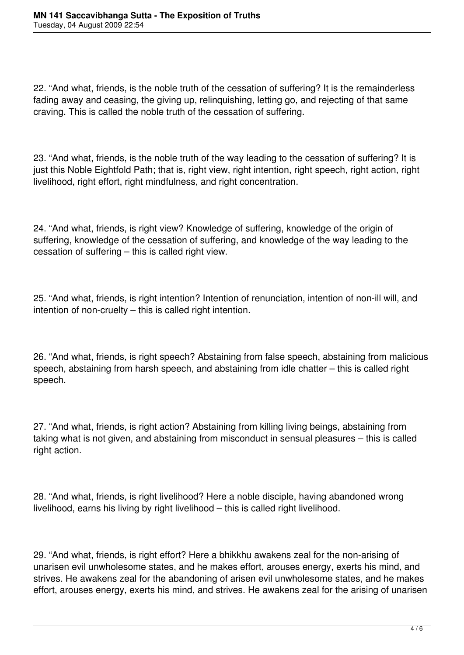22. "And what, friends, is the noble truth of the cessation of suffering? It is the remainderless fading away and ceasing, the giving up, relinguishing, letting go, and rejecting of that same craving. This is called the noble truth of the cessation of suffering.

23. "And what, friends, is the noble truth of the way leading to the cessation of suffering? It is just this Noble Eightfold Path; that is, right view, right intention, right speech, right action, right livelihood, right effort, right mindfulness, and right concentration.

24. "And what, friends, is right view? Knowledge of suffering, knowledge of the origin of suffering, knowledge of the cessation of suffering, and knowledge of the way leading to the cessation of suffering – this is called right view.

25. "And what, friends, is right intention? Intention of renunciation, intention of non-ill will, and intention of non-cruelty – this is called right intention.

26. "And what, friends, is right speech? Abstaining from false speech, abstaining from malicious speech, abstaining from harsh speech, and abstaining from idle chatter – this is called right speech.

27. "And what, friends, is right action? Abstaining from killing living beings, abstaining from taking what is not given, and abstaining from misconduct in sensual pleasures – this is called right action.

28. "And what, friends, is right livelihood? Here a noble disciple, having abandoned wrong livelihood, earns his living by right livelihood – this is called right livelihood.

29. "And what, friends, is right effort? Here a bhikkhu awakens zeal for the non-arising of unarisen evil unwholesome states, and he makes effort, arouses energy, exerts his mind, and strives. He awakens zeal for the abandoning of arisen evil unwholesome states, and he makes effort, arouses energy, exerts his mind, and strives. He awakens zeal for the arising of unarisen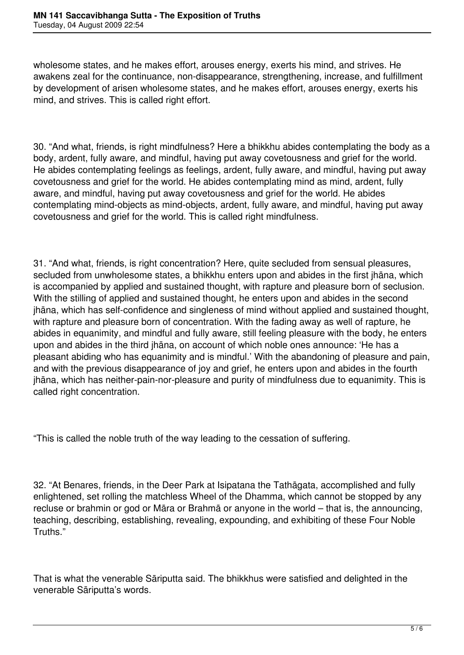wholesome states, and he makes effort, arouses energy, exerts his mind, and strives. He awakens zeal for the continuance, non-disappearance, strengthening, increase, and fulfillment by development of arisen wholesome states, and he makes effort, arouses energy, exerts his mind, and strives. This is called right effort.

30. "And what, friends, is right mindfulness? Here a bhikkhu abides contemplating the body as a body, ardent, fully aware, and mindful, having put away covetousness and grief for the world. He abides contemplating feelings as feelings, ardent, fully aware, and mindful, having put away covetousness and grief for the world. He abides contemplating mind as mind, ardent, fully aware, and mindful, having put away covetousness and grief for the world. He abides contemplating mind-objects as mind-objects, ardent, fully aware, and mindful, having put away covetousness and grief for the world. This is called right mindfulness.

31. "And what, friends, is right concentration? Here, quite secluded from sensual pleasures, secluded from unwholesome states, a bhikkhu enters upon and abides in the first jhāna, which is accompanied by applied and sustained thought, with rapture and pleasure born of seclusion. With the stilling of applied and sustained thought, he enters upon and abides in the second jhāna, which has self-confidence and singleness of mind without applied and sustained thought, with rapture and pleasure born of concentration. With the fading away as well of rapture, he abides in equanimity, and mindful and fully aware, still feeling pleasure with the body, he enters upon and abides in the third jhāna, on account of which noble ones announce: 'He has a pleasant abiding who has equanimity and is mindful.' With the abandoning of pleasure and pain, and with the previous disappearance of joy and grief, he enters upon and abides in the fourth jhāna, which has neither-pain-nor-pleasure and purity of mindfulness due to equanimity. This is called right concentration.

"This is called the noble truth of the way leading to the cessation of suffering.

32. "At Benares, friends, in the Deer Park at Isipatana the Tathāgata, accomplished and fully enlightened, set rolling the matchless Wheel of the Dhamma, which cannot be stopped by any recluse or brahmin or god or Māra or Brahmā or anyone in the world – that is, the announcing, teaching, describing, establishing, revealing, expounding, and exhibiting of these Four Noble Truths."

That is what the venerable Sāriputta said. The bhikkhus were satisfied and delighted in the venerable Sāriputta's words.